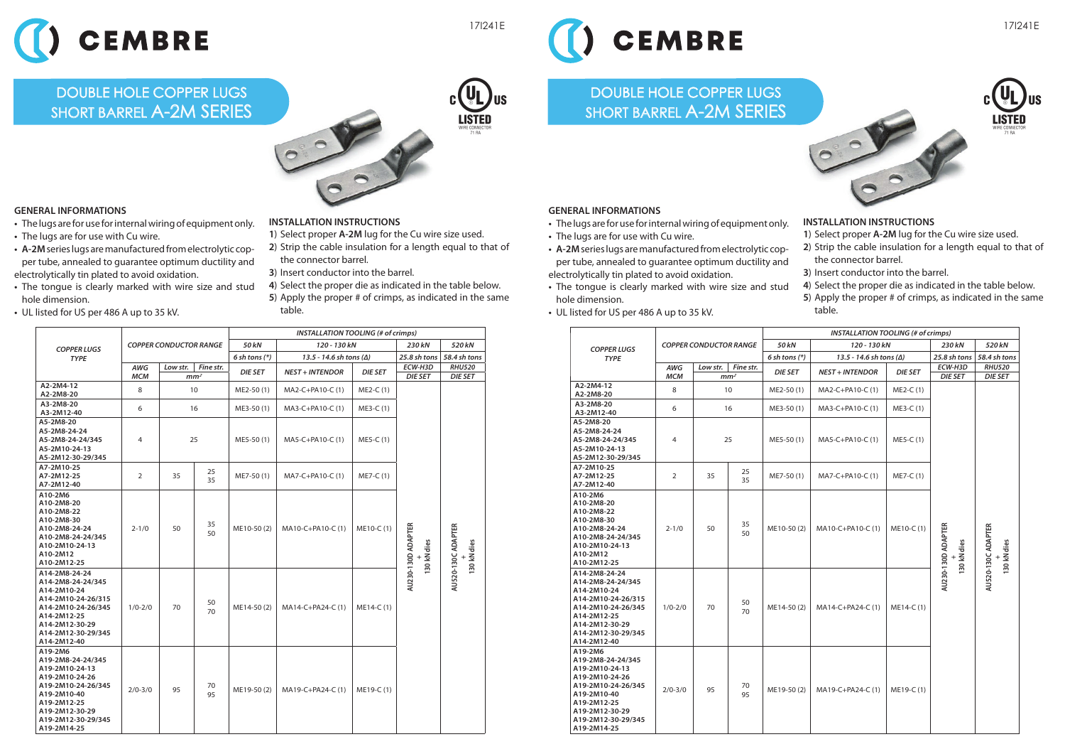

## DOUBLE HOLE COPPER LUGS SHORT BARREL **A-2M SERIES**







- **•** The lugs are for use for internal wiring of equipment only.
- **•** The lugs are for use with Cu wire.
- **• A-2M** series lugs are manufactured from electrolytic cop per tube, annealed to guarantee optimum ductility and electrolytically tin plated to avoid oxidation.
- **•** The tongue is clearly marked with wire size and stud hole dimension.
- **•** UL listed for US per 486 A up to 35 kV.

## **INSTALLATION INSTRUCTIONS**

- **<sup>1</sup>**) Select proper **A-2M** lug for the Cu wire size used.
- **2**) Strip the cable insulation for a length equal to that of the connector barrel.
- **3**) Insert conductor into the barrel.
- **4**) Select the proper die as indicated in the table below.
- **5**) Apply the proper # of crimps, as indicated in the same table.

|                                                                                                                                                                             | <b>COPPER CONDUCTOR RANGE</b> |                 |           | <b>INSTALLATION TOOLING (# of crimps)</b> |                                  |                |                                  |                                   |  |
|-----------------------------------------------------------------------------------------------------------------------------------------------------------------------------|-------------------------------|-----------------|-----------|-------------------------------------------|----------------------------------|----------------|----------------------------------|-----------------------------------|--|
| <b>COPPER LUGS</b><br><b>TYPE</b>                                                                                                                                           |                               |                 |           | 50 kN                                     | 120 - 130 kN                     |                | 230 kN                           | 520 kN                            |  |
|                                                                                                                                                                             |                               |                 |           | $6$ sh tons $(*)$                         | 13.5 - 14.6 sh tons ( $\Delta$ ) |                | 25.8 sh tons                     | 58.4 sh tons                      |  |
|                                                                                                                                                                             | AWG                           | Low str.        | Fine str. | <b>DIE SET</b>                            | <b>NEST + INTENDOR</b>           | <b>DIE SET</b> | ECW-H3D                          | <b>RHU520</b>                     |  |
| A2-2M4-12                                                                                                                                                                   | <b>MCM</b>                    | mm <sup>2</sup> |           |                                           |                                  |                | <b>DIE SET</b>                   | <b>DIE SET</b>                    |  |
| A2-2M8-20                                                                                                                                                                   | 8                             | 10              |           | ME2-50(1)                                 | MA2-C+PA10-C (1)                 | ME2-C (1)      |                                  |                                   |  |
| A3-2M8-20<br>A3-2M12-40                                                                                                                                                     | 6                             | 16              |           | ME3-50(1)                                 | MA3-C+PA10-C (1)                 | ME3-C (1)      |                                  |                                   |  |
| A5-2M8-20<br>A5-2M8-24-24<br>A5-2M8-24-24/345<br>A5-2M10-24-13<br>A5-2M12-30-29/345                                                                                         | 4                             | 25              |           | ME5-50(1)                                 | MA5-C+PA10-C (1)                 | ME5-C (1)      |                                  |                                   |  |
| A7-2M10-25<br>A7-2M12-25<br>A7-2M12-40                                                                                                                                      | $\overline{2}$                | 35              | 25<br>35  | ME7-50(1)                                 | MA7-C+PA10-C (1)                 | ME7-C (1)      |                                  |                                   |  |
| A10-2M6<br>A10-2M8-20<br>A10-2M8-22<br>A10-2M8-30<br>A10-2M8-24-24<br>A10-2M8-24-24/345<br>A10-2M10-24-13<br>A10-2M12<br>A10-2M12-25                                        | $2 - 1/0$                     | 50              | 35<br>50  | ME10-50(2)                                | MA10-C+PA10-C (1)                | ME10-C (1)     | AU230-130D ADAPTER<br>30 kN dies | AU520-130C ADAPTER<br>130 kN dies |  |
| A14-2M8-24-24<br>A14-2M8-24-24/345<br>A14-2M10-24<br>A14-2M10-24-26/315<br>A14-2M10-24-26/345<br>A14-2M12-25<br>A14-2M12-30-29<br>A14-2M12-30-29/345<br>A14-2M12-40         | $1/0 - 2/0$                   | 70              | 50<br>70  | ME14-50(2)                                | MA14-C+PA24-C (1)                | ME14-C (1)     |                                  |                                   |  |
| A19-2M6<br>A19-2M8-24-24/345<br>A19-2M10-24-13<br>A19-2M10-24-26<br>A19-2M10-24-26/345<br>A19-2M10-40<br>A19-2M12-25<br>A19-2M12-30-29<br>A19-2M12-30-29/345<br>A19-2M14-25 | $2/0 - 3/0$                   | 95              | 70<br>95  | ME19-50(2)                                | MA19-C+PA24-C (1)                | ME19-C (1)     |                                  |                                   |  |